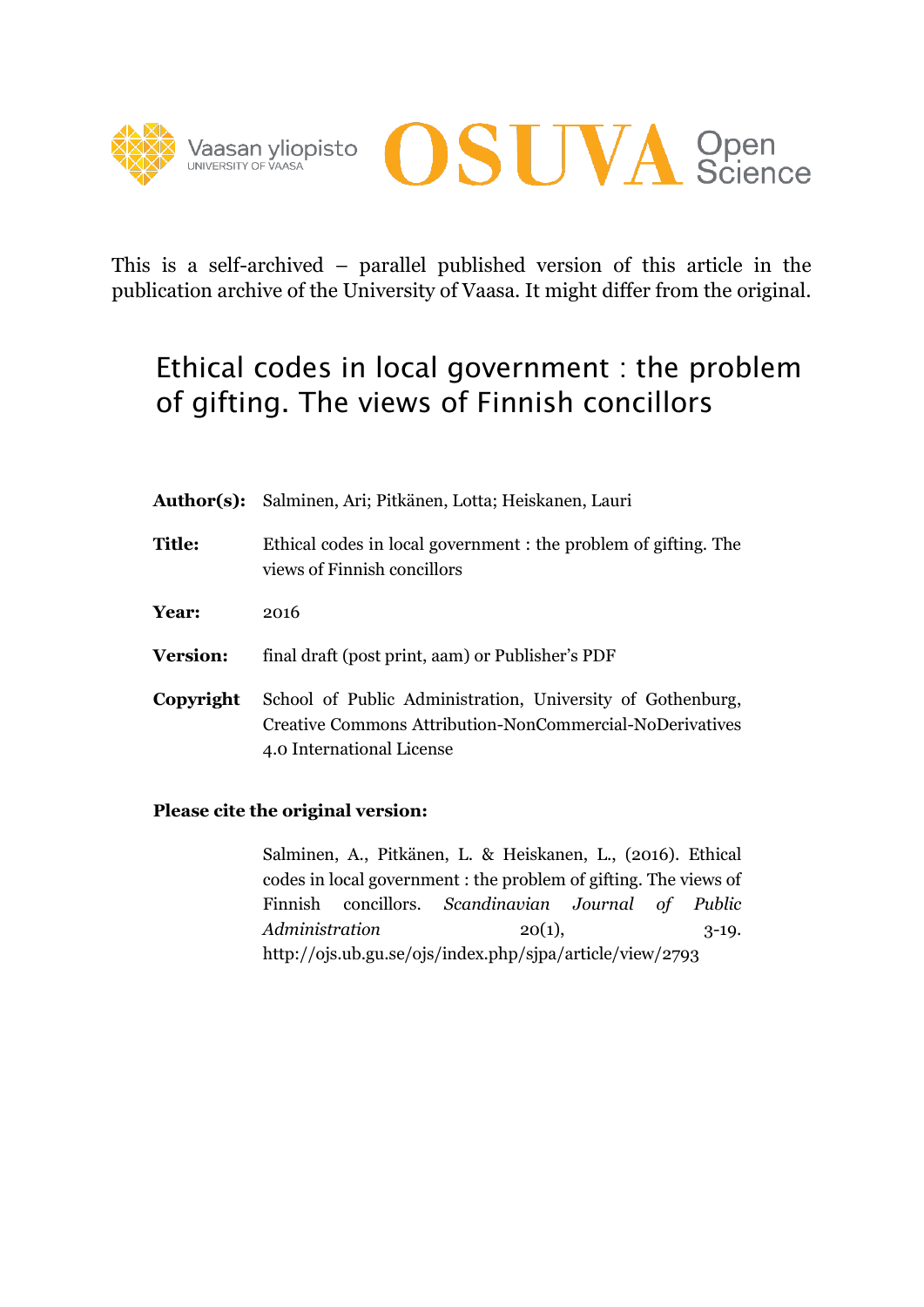



This is a self-archived – parallel published version of this article in the publication archive of the University of Vaasa. It might differ from the original.

# Ethical codes in local government : the problem of gifting. The views of Finnish concillors

|                 | Author(s): Salminen, Ari; Pitkänen, Lotta; Heiskanen, Lauri                                                                                                |
|-----------------|------------------------------------------------------------------------------------------------------------------------------------------------------------|
| <b>Title:</b>   | Ethical codes in local government : the problem of gifting. The<br>views of Finnish concillors                                                             |
| Year:           | 2016                                                                                                                                                       |
| <b>Version:</b> | final draft (post print, aam) or Publisher's PDF                                                                                                           |
| Copyright       | School of Public Administration, University of Gothenburg,<br><b>Creative Commons Attribution-NonCommercial-NoDerivatives</b><br>4.0 International License |

### **Please cite the original version:**

Salminen, A., Pitkänen, L. & Heiskanen, L., (2016). Ethical codes in local government : the problem of gifting. The views of Finnish concillors. *Scandinavian Journal of Public Administration* 20(1), 3-19. http://ojs.ub.gu.se/ojs/index.php/sjpa/article/view/2793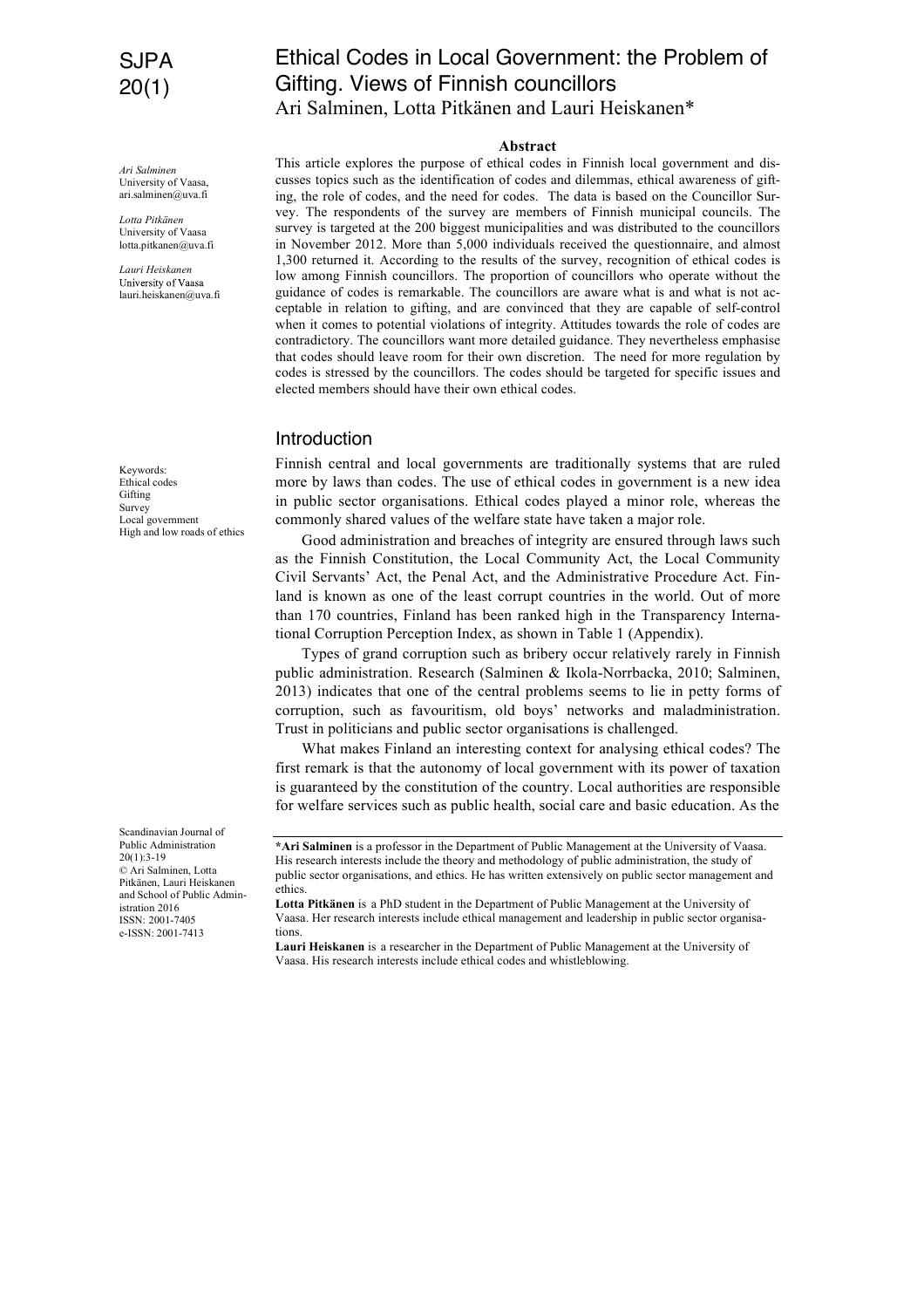## SJPA 20(1)

*Ari Salminen* University of Vaasa, ari.salminen@uva.fi

*Lotta Pitkänen* University of Vaasa lotta.pitkanen@uva.fi

*Lauri Heiskanen* University of Vaasa lauri.heiskanen@uva.fi

Keywords: Ethical codes Gifting Survey Local government High and low roads of ethics

Scandinavian Journal of Public Administration  $20(1):3-19$ © Ari Salminen, Lotta Pitkänen, Lauri Heiskanen and School of Public Administration 2016 ISSN: 2001-7405 e-ISSN: 2001-7413

## Ethical Codes in Local Government: the Problem of Gifting. Views of Finnish councillors Ari Salminen, Lotta Pitkänen and Lauri Heiskanen\*

#### **Abstract**

This article explores the purpose of ethical codes in Finnish local government and discusses topics such as the identification of codes and dilemmas, ethical awareness of gifting, the role of codes, and the need for codes. The data is based on the Councillor Survey. The respondents of the survey are members of Finnish municipal councils. The survey is targeted at the 200 biggest municipalities and was distributed to the councillors in November 2012. More than 5,000 individuals received the questionnaire, and almost 1,300 returned it. According to the results of the survey, recognition of ethical codes is low among Finnish councillors. The proportion of councillors who operate without the guidance of codes is remarkable. The councillors are aware what is and what is not acceptable in relation to gifting, and are convinced that they are capable of self-control when it comes to potential violations of integrity. Attitudes towards the role of codes are contradictory. The councillors want more detailed guidance. They nevertheless emphasise that codes should leave room for their own discretion. The need for more regulation by codes is stressed by the councillors. The codes should be targeted for specific issues and elected members should have their own ethical codes.

#### Introduction

Finnish central and local governments are traditionally systems that are ruled more by laws than codes. The use of ethical codes in government is a new idea in public sector organisations. Ethical codes played a minor role, whereas the commonly shared values of the welfare state have taken a major role.

Good administration and breaches of integrity are ensured through laws such as the Finnish Constitution, the Local Community Act, the Local Community Civil Servants' Act, the Penal Act, and the Administrative Procedure Act. Finland is known as one of the least corrupt countries in the world. Out of more than 170 countries, Finland has been ranked high in the Transparency International Corruption Perception Index, as shown in Table 1 (Appendix).

Types of grand corruption such as bribery occur relatively rarely in Finnish public administration. Research (Salminen & Ikola-Norrbacka, 2010; Salminen, 2013) indicates that one of the central problems seems to lie in petty forms of corruption, such as favouritism, old boys' networks and maladministration. Trust in politicians and public sector organisations is challenged.

What makes Finland an interesting context for analysing ethical codes? The first remark is that the autonomy of local government with its power of taxation is guaranteed by the constitution of the country. Local authorities are responsible for welfare services such as public health, social care and basic education. As the

**Lauri Heiskanen** is a researcher in the Department of Public Management at the University of Vaasa. His research interests include ethical codes and whistleblowing.

**<sup>\*</sup>Ari Salminen** is a professor in the Department of Public Management at the University of Vaasa. His research interests include the theory and methodology of public administration, the study of public sector organisations, and ethics. He has written extensively on public sector management and ethics.

**Lotta Pitkänen** is a PhD student in the Department of Public Management at the University of Vaasa. Her research interests include ethical management and leadership in public sector organisations.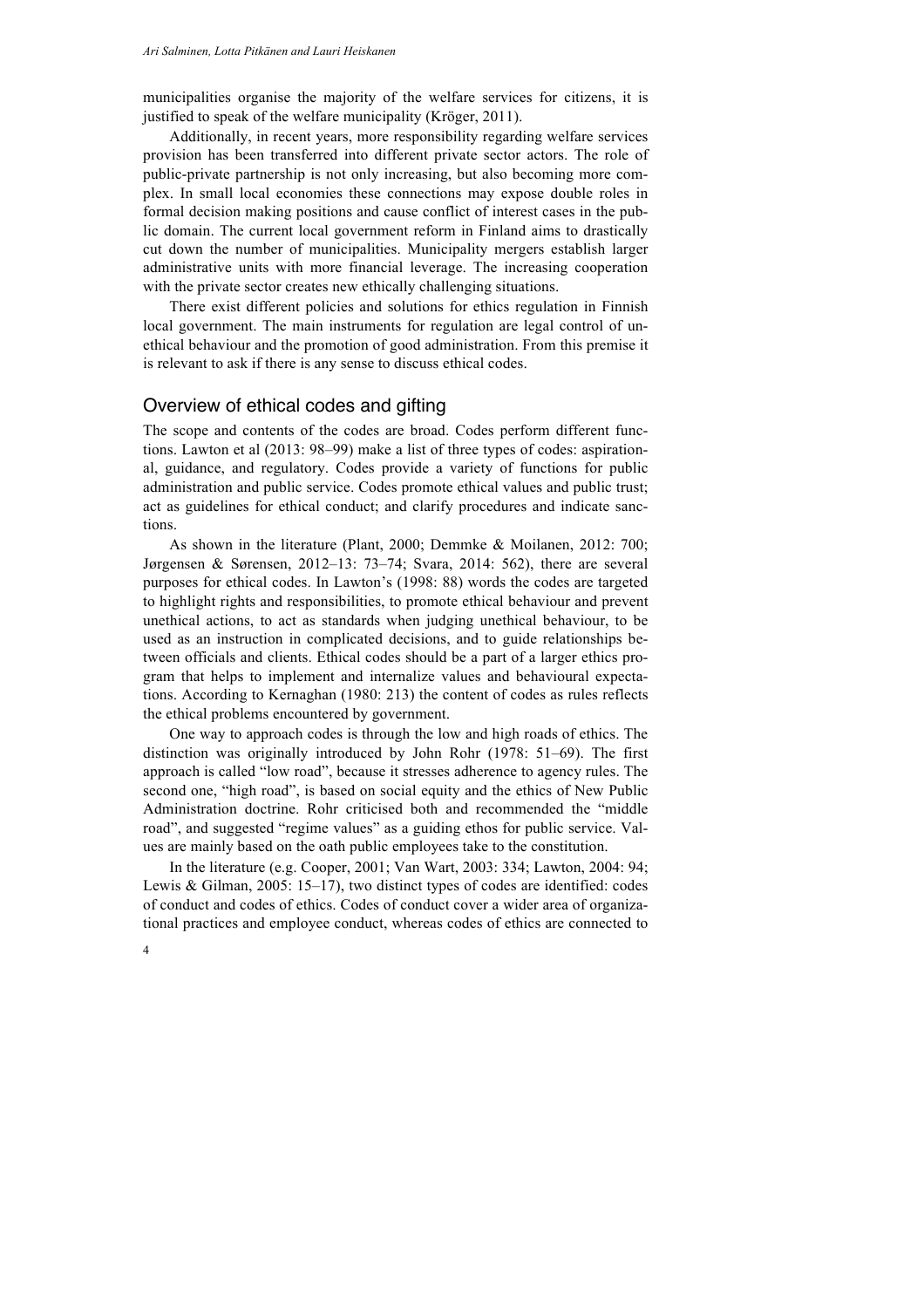municipalities organise the majority of the welfare services for citizens, it is justified to speak of the welfare municipality (Kröger, 2011).

Additionally, in recent years, more responsibility regarding welfare services provision has been transferred into different private sector actors. The role of public-private partnership is not only increasing, but also becoming more complex. In small local economies these connections may expose double roles in formal decision making positions and cause conflict of interest cases in the public domain. The current local government reform in Finland aims to drastically cut down the number of municipalities. Municipality mergers establish larger administrative units with more financial leverage. The increasing cooperation with the private sector creates new ethically challenging situations.

There exist different policies and solutions for ethics regulation in Finnish local government. The main instruments for regulation are legal control of unethical behaviour and the promotion of good administration. From this premise it is relevant to ask if there is any sense to discuss ethical codes.

#### Overview of ethical codes and gifting

The scope and contents of the codes are broad. Codes perform different functions. Lawton et al (2013: 98–99) make a list of three types of codes: aspirational, guidance, and regulatory. Codes provide a variety of functions for public administration and public service. Codes promote ethical values and public trust; act as guidelines for ethical conduct; and clarify procedures and indicate sanctions.

As shown in the literature (Plant, 2000; Demmke & Moilanen, 2012: 700; Jørgensen & Sørensen, 2012–13: 73–74; Svara, 2014: 562), there are several purposes for ethical codes. In Lawton's (1998: 88) words the codes are targeted to highlight rights and responsibilities, to promote ethical behaviour and prevent unethical actions, to act as standards when judging unethical behaviour, to be used as an instruction in complicated decisions, and to guide relationships between officials and clients. Ethical codes should be a part of a larger ethics program that helps to implement and internalize values and behavioural expectations. According to Kernaghan (1980: 213) the content of codes as rules reflects the ethical problems encountered by government.

One way to approach codes is through the low and high roads of ethics. The distinction was originally introduced by John Rohr (1978: 51–69). The first approach is called "low road", because it stresses adherence to agency rules. The second one, "high road", is based on social equity and the ethics of New Public Administration doctrine. Rohr criticised both and recommended the "middle road", and suggested "regime values" as a guiding ethos for public service. Values are mainly based on the oath public employees take to the constitution.

In the literature (e.g. Cooper, 2001; Van Wart, 2003: 334; Lawton, 2004: 94; Lewis & Gilman, 2005: 15–17), two distinct types of codes are identified: codes of conduct and codes of ethics. Codes of conduct cover a wider area of organizational practices and employee conduct, whereas codes of ethics are connected to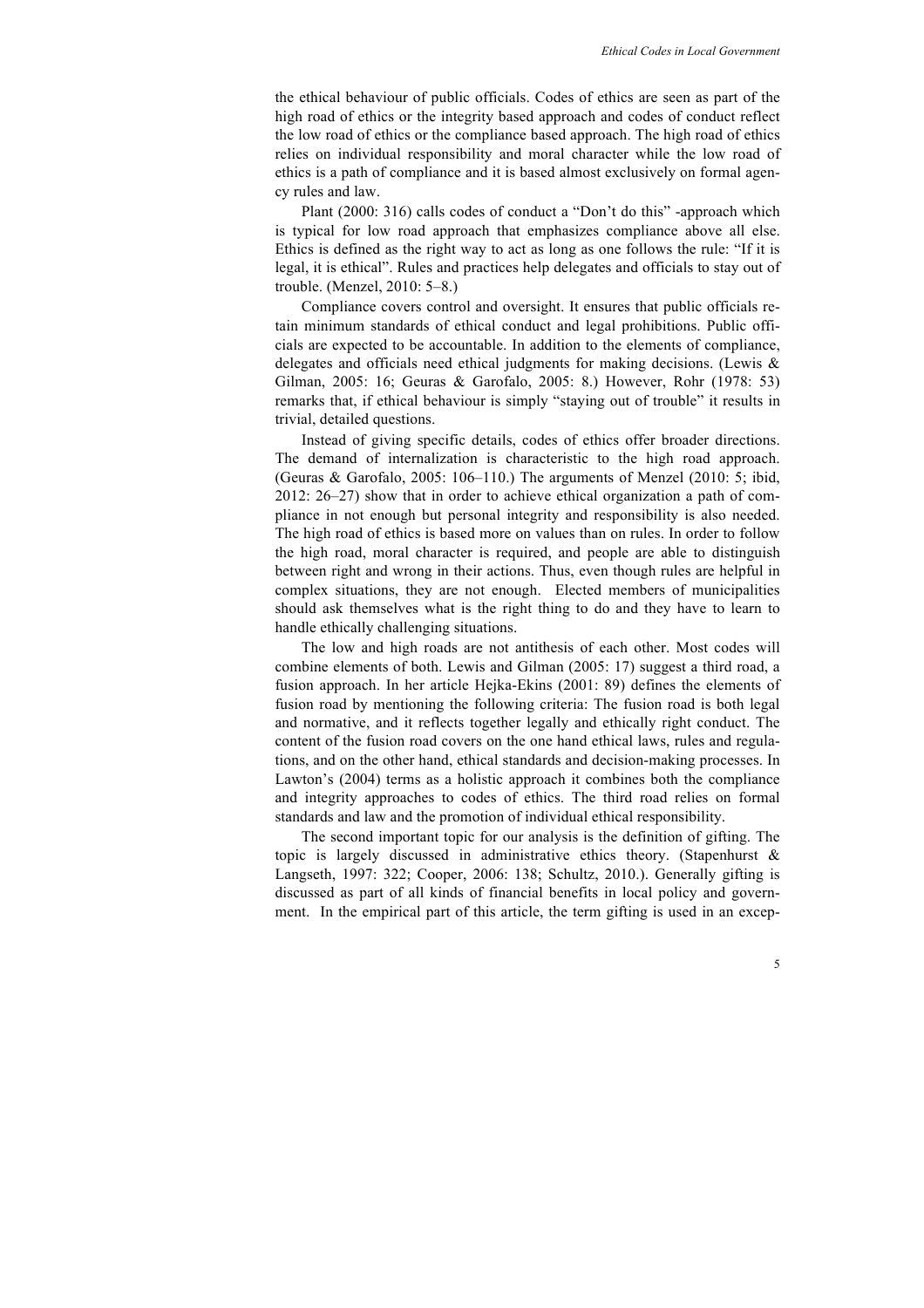the ethical behaviour of public officials. Codes of ethics are seen as part of the high road of ethics or the integrity based approach and codes of conduct reflect the low road of ethics or the compliance based approach. The high road of ethics relies on individual responsibility and moral character while the low road of ethics is a path of compliance and it is based almost exclusively on formal agency rules and law.

Plant (2000: 316) calls codes of conduct a "Don't do this" -approach which is typical for low road approach that emphasizes compliance above all else. Ethics is defined as the right way to act as long as one follows the rule: "If it is legal, it is ethical". Rules and practices help delegates and officials to stay out of trouble. (Menzel, 2010: 5–8.)

Compliance covers control and oversight. It ensures that public officials retain minimum standards of ethical conduct and legal prohibitions. Public officials are expected to be accountable. In addition to the elements of compliance, delegates and officials need ethical judgments for making decisions. (Lewis & Gilman, 2005: 16; Geuras & Garofalo, 2005: 8.) However, Rohr (1978: 53) remarks that, if ethical behaviour is simply "staying out of trouble" it results in trivial, detailed questions.

Instead of giving specific details, codes of ethics offer broader directions. The demand of internalization is characteristic to the high road approach. (Geuras & Garofalo, 2005: 106–110.) The arguments of Menzel (2010: 5; ibid, 2012: 26–27) show that in order to achieve ethical organization a path of compliance in not enough but personal integrity and responsibility is also needed. The high road of ethics is based more on values than on rules. In order to follow the high road, moral character is required, and people are able to distinguish between right and wrong in their actions. Thus, even though rules are helpful in complex situations, they are not enough. Elected members of municipalities should ask themselves what is the right thing to do and they have to learn to handle ethically challenging situations.

The low and high roads are not antithesis of each other. Most codes will combine elements of both. Lewis and Gilman (2005: 17) suggest a third road, a fusion approach. In her article Hejka-Ekins (2001: 89) defines the elements of fusion road by mentioning the following criteria: The fusion road is both legal and normative, and it reflects together legally and ethically right conduct. The content of the fusion road covers on the one hand ethical laws, rules and regulations, and on the other hand, ethical standards and decision-making processes. In Lawton's (2004) terms as a holistic approach it combines both the compliance and integrity approaches to codes of ethics. The third road relies on formal standards and law and the promotion of individual ethical responsibility.

The second important topic for our analysis is the definition of gifting. The topic is largely discussed in administrative ethics theory. (Stapenhurst & Langseth, 1997: 322; Cooper, 2006: 138; Schultz, 2010.). Generally gifting is discussed as part of all kinds of financial benefits in local policy and government. In the empirical part of this article, the term gifting is used in an excep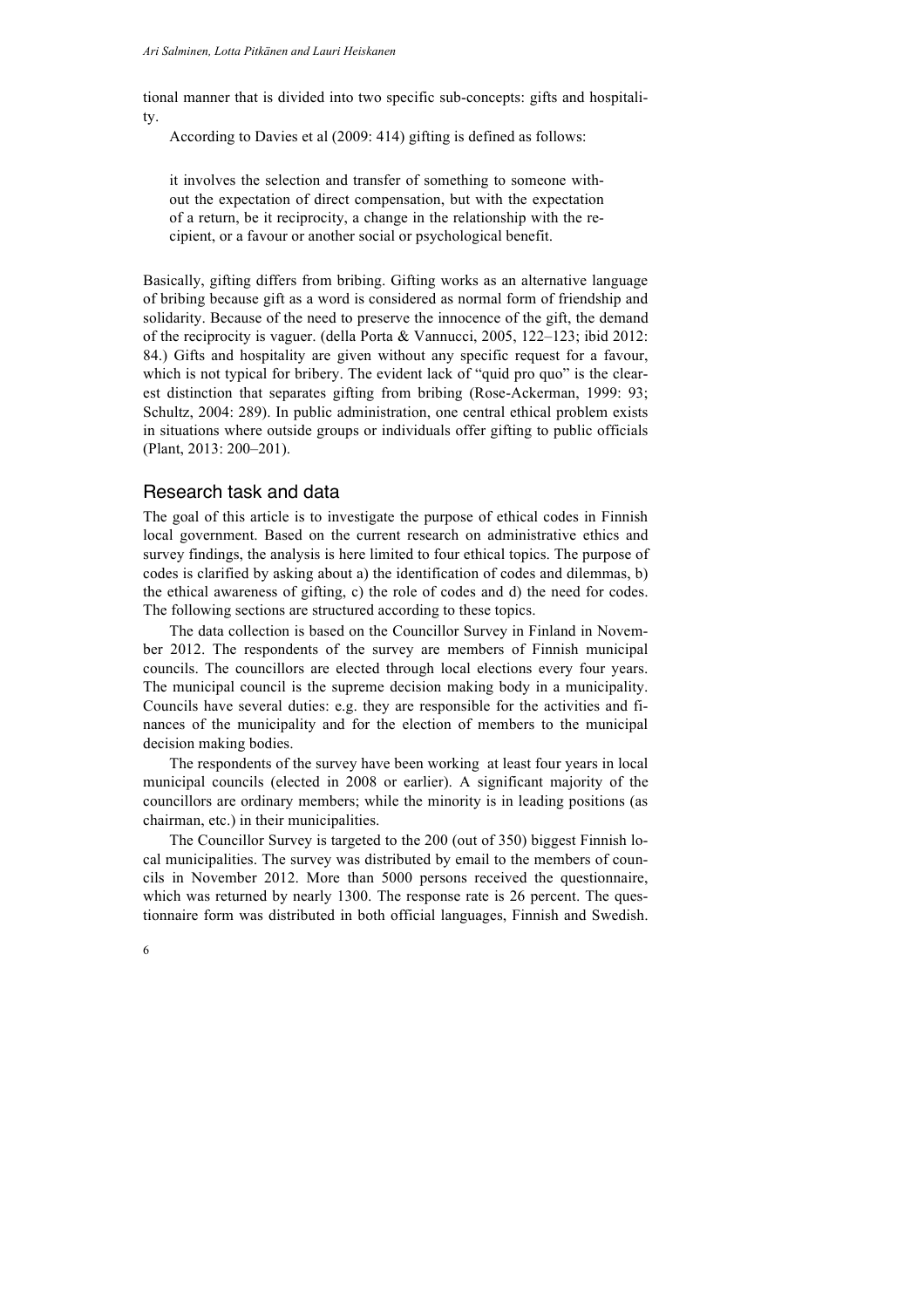tional manner that is divided into two specific sub-concepts: gifts and hospitality.

According to Davies et al (2009: 414) gifting is defined as follows:

it involves the selection and transfer of something to someone without the expectation of direct compensation, but with the expectation of a return, be it reciprocity, a change in the relationship with the recipient, or a favour or another social or psychological benefit.

Basically, gifting differs from bribing. Gifting works as an alternative language of bribing because gift as a word is considered as normal form of friendship and solidarity. Because of the need to preserve the innocence of the gift, the demand of the reciprocity is vaguer. (della Porta & Vannucci, 2005, 122–123; ibid 2012: 84.) Gifts and hospitality are given without any specific request for a favour, which is not typical for bribery. The evident lack of "quid pro quo" is the clearest distinction that separates gifting from bribing (Rose-Ackerman, 1999: 93; Schultz, 2004: 289). In public administration, one central ethical problem exists in situations where outside groups or individuals offer gifting to public officials (Plant, 2013: 200–201).

#### Research task and data

The goal of this article is to investigate the purpose of ethical codes in Finnish local government. Based on the current research on administrative ethics and survey findings, the analysis is here limited to four ethical topics. The purpose of codes is clarified by asking about a) the identification of codes and dilemmas, b) the ethical awareness of gifting, c) the role of codes and d) the need for codes. The following sections are structured according to these topics.

The data collection is based on the Councillor Survey in Finland in November 2012. The respondents of the survey are members of Finnish municipal councils. The councillors are elected through local elections every four years. The municipal council is the supreme decision making body in a municipality. Councils have several duties: e.g. they are responsible for the activities and finances of the municipality and for the election of members to the municipal decision making bodies.

The respondents of the survey have been working at least four years in local municipal councils (elected in 2008 or earlier). A significant majority of the councillors are ordinary members; while the minority is in leading positions (as chairman, etc.) in their municipalities.

The Councillor Survey is targeted to the 200 (out of 350) biggest Finnish local municipalities. The survey was distributed by email to the members of councils in November 2012. More than 5000 persons received the questionnaire, which was returned by nearly 1300. The response rate is 26 percent. The questionnaire form was distributed in both official languages, Finnish and Swedish.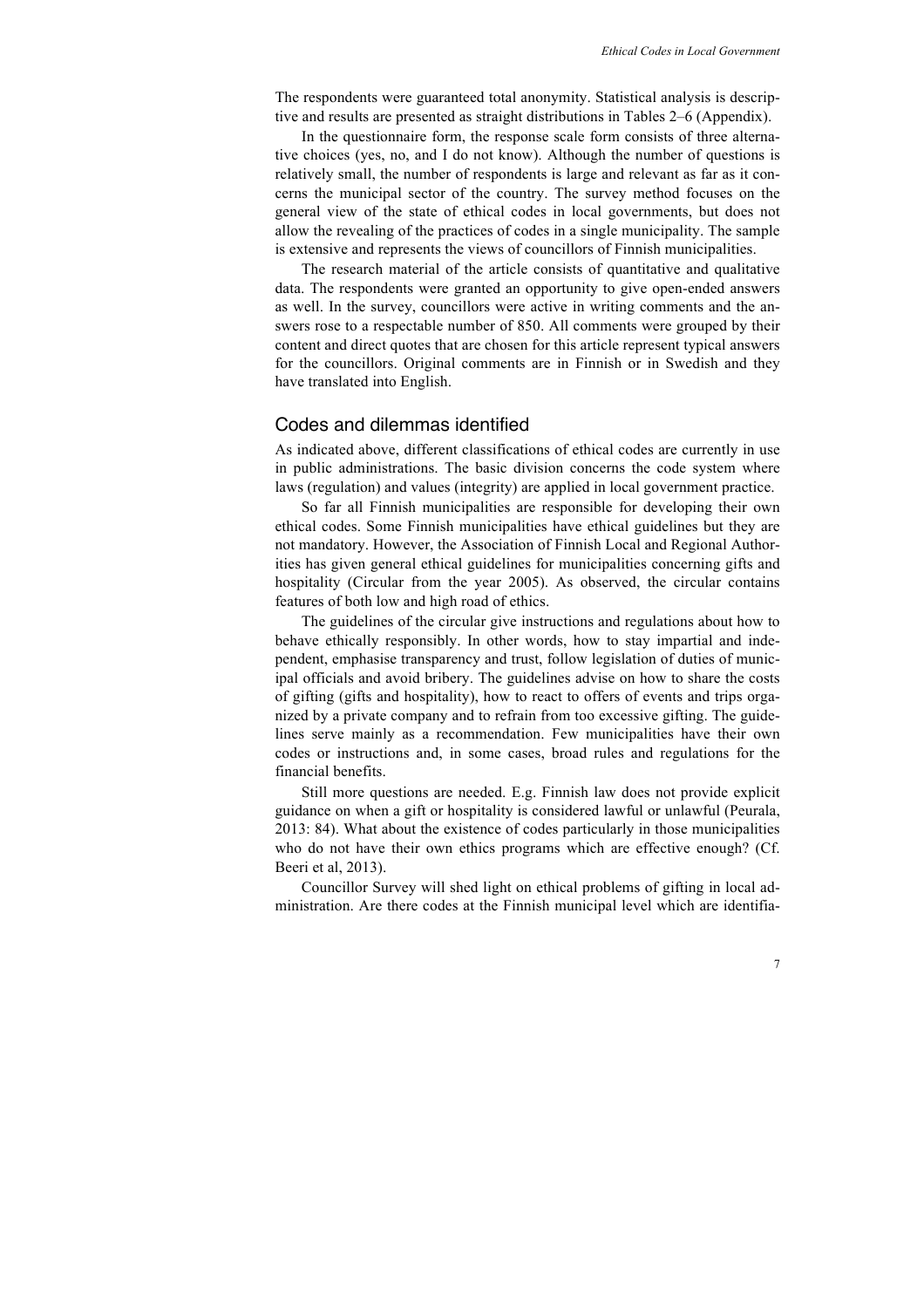The respondents were guaranteed total anonymity. Statistical analysis is descriptive and results are presented as straight distributions in Tables 2–6 (Appendix).

In the questionnaire form, the response scale form consists of three alternative choices (yes, no, and I do not know). Although the number of questions is relatively small, the number of respondents is large and relevant as far as it concerns the municipal sector of the country. The survey method focuses on the general view of the state of ethical codes in local governments, but does not allow the revealing of the practices of codes in a single municipality. The sample is extensive and represents the views of councillors of Finnish municipalities.

The research material of the article consists of quantitative and qualitative data. The respondents were granted an opportunity to give open-ended answers as well. In the survey, councillors were active in writing comments and the answers rose to a respectable number of 850. All comments were grouped by their content and direct quotes that are chosen for this article represent typical answers for the councillors. Original comments are in Finnish or in Swedish and they have translated into English.

#### Codes and dilemmas identified

As indicated above, different classifications of ethical codes are currently in use in public administrations. The basic division concerns the code system where laws (regulation) and values (integrity) are applied in local government practice.

So far all Finnish municipalities are responsible for developing their own ethical codes. Some Finnish municipalities have ethical guidelines but they are not mandatory. However, the Association of Finnish Local and Regional Authorities has given general ethical guidelines for municipalities concerning gifts and hospitality (Circular from the year 2005). As observed, the circular contains features of both low and high road of ethics.

The guidelines of the circular give instructions and regulations about how to behave ethically responsibly. In other words, how to stay impartial and independent, emphasise transparency and trust, follow legislation of duties of municipal officials and avoid bribery. The guidelines advise on how to share the costs of gifting (gifts and hospitality), how to react to offers of events and trips organized by a private company and to refrain from too excessive gifting. The guidelines serve mainly as a recommendation. Few municipalities have their own codes or instructions and, in some cases, broad rules and regulations for the financial benefits.

Still more questions are needed. E.g. Finnish law does not provide explicit guidance on when a gift or hospitality is considered lawful or unlawful (Peurala, 2013: 84). What about the existence of codes particularly in those municipalities who do not have their own ethics programs which are effective enough? (Cf. Beeri et al, 2013).

Councillor Survey will shed light on ethical problems of gifting in local administration. Are there codes at the Finnish municipal level which are identifia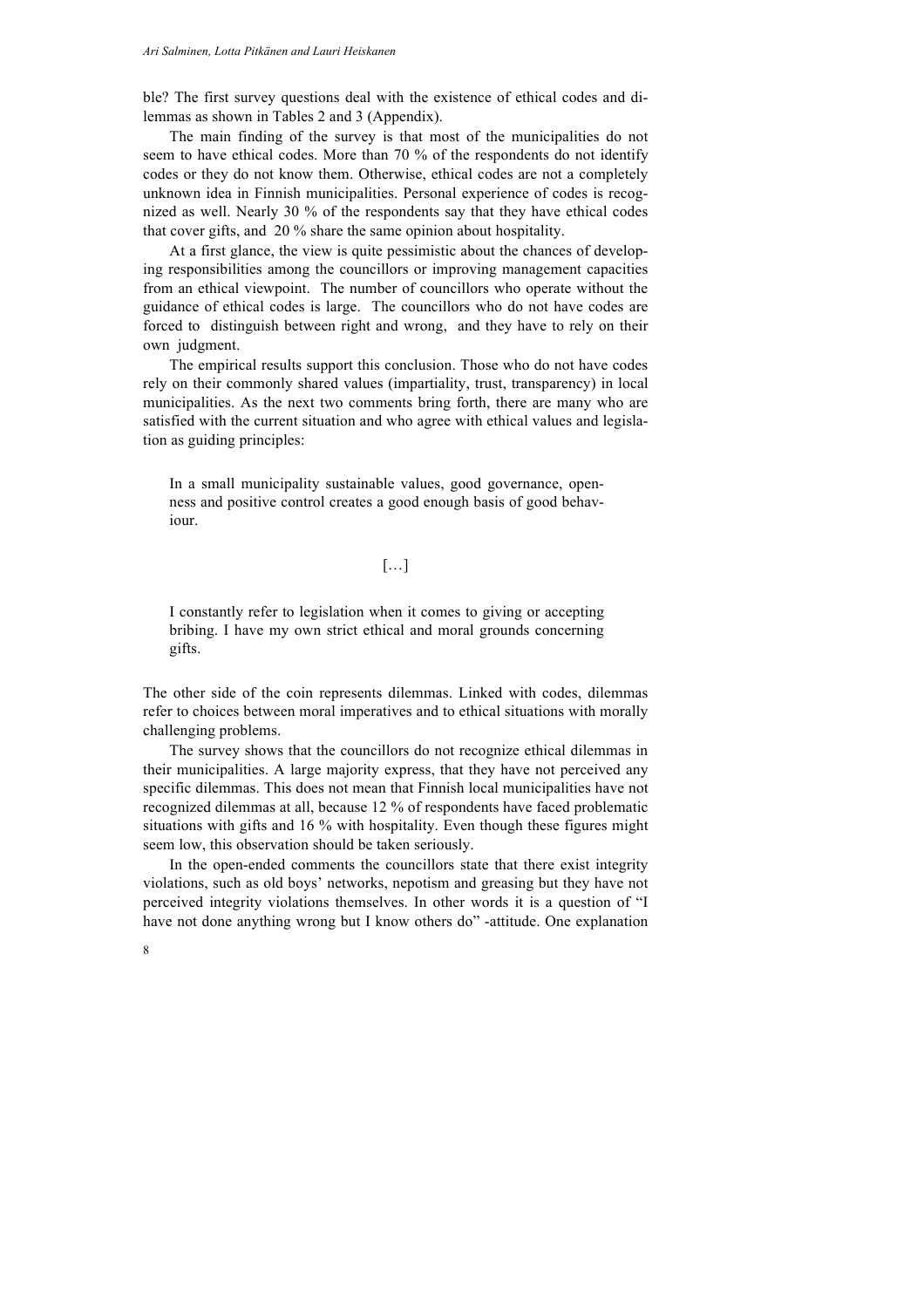ble? The first survey questions deal with the existence of ethical codes and dilemmas as shown in Tables 2 and 3 (Appendix).

The main finding of the survey is that most of the municipalities do not seem to have ethical codes. More than 70 % of the respondents do not identify codes or they do not know them. Otherwise, ethical codes are not a completely unknown idea in Finnish municipalities. Personal experience of codes is recognized as well. Nearly 30 % of the respondents say that they have ethical codes that cover gifts, and 20 % share the same opinion about hospitality.

At a first glance, the view is quite pessimistic about the chances of developing responsibilities among the councillors or improving management capacities from an ethical viewpoint. The number of councillors who operate without the guidance of ethical codes is large. The councillors who do not have codes are forced to distinguish between right and wrong, and they have to rely on their own judgment.

The empirical results support this conclusion. Those who do not have codes rely on their commonly shared values (impartiality, trust, transparency) in local municipalities. As the next two comments bring forth, there are many who are satisfied with the current situation and who agree with ethical values and legislation as guiding principles:

In a small municipality sustainable values, good governance, openness and positive control creates a good enough basis of good behaviour.

#### […]

I constantly refer to legislation when it comes to giving or accepting bribing. I have my own strict ethical and moral grounds concerning gifts.

The other side of the coin represents dilemmas. Linked with codes, dilemmas refer to choices between moral imperatives and to ethical situations with morally challenging problems.

The survey shows that the councillors do not recognize ethical dilemmas in their municipalities. A large majority express, that they have not perceived any specific dilemmas. This does not mean that Finnish local municipalities have not recognized dilemmas at all, because 12 % of respondents have faced problematic situations with gifts and 16 % with hospitality. Even though these figures might seem low, this observation should be taken seriously.

In the open-ended comments the councillors state that there exist integrity violations, such as old boys' networks, nepotism and greasing but they have not perceived integrity violations themselves. In other words it is a question of "I have not done anything wrong but I know others do" -attitude. One explanation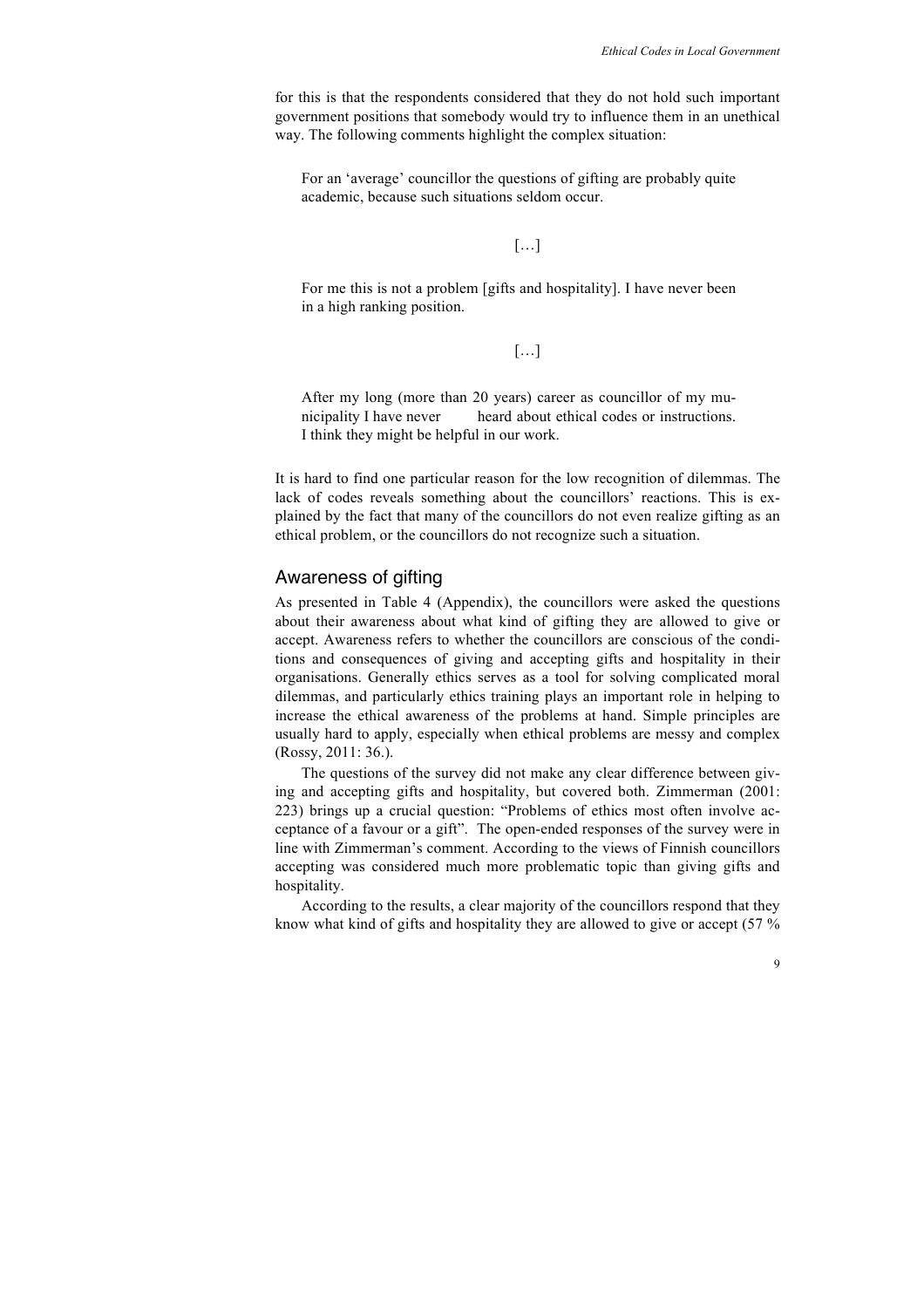for this is that the respondents considered that they do not hold such important government positions that somebody would try to influence them in an unethical way. The following comments highlight the complex situation:

For an 'average' councillor the questions of gifting are probably quite academic, because such situations seldom occur.

#### […]

For me this is not a problem [gifts and hospitality]. I have never been in a high ranking position.

[…]

After my long (more than 20 years) career as councillor of my municipality I have never heard about ethical codes or instructions. I think they might be helpful in our work.

It is hard to find one particular reason for the low recognition of dilemmas. The lack of codes reveals something about the councillors' reactions. This is explained by the fact that many of the councillors do not even realize gifting as an ethical problem, or the councillors do not recognize such a situation.

#### Awareness of gifting

As presented in Table 4 (Appendix), the councillors were asked the questions about their awareness about what kind of gifting they are allowed to give or accept. Awareness refers to whether the councillors are conscious of the conditions and consequences of giving and accepting gifts and hospitality in their organisations. Generally ethics serves as a tool for solving complicated moral dilemmas, and particularly ethics training plays an important role in helping to increase the ethical awareness of the problems at hand. Simple principles are usually hard to apply, especially when ethical problems are messy and complex (Rossy, 2011: 36.).

The questions of the survey did not make any clear difference between giving and accepting gifts and hospitality, but covered both. Zimmerman (2001: 223) brings up a crucial question: "Problems of ethics most often involve acceptance of a favour or a gift". The open-ended responses of the survey were in line with Zimmerman's comment. According to the views of Finnish councillors accepting was considered much more problematic topic than giving gifts and hospitality.

According to the results, a clear majority of the councillors respond that they know what kind of gifts and hospitality they are allowed to give or accept (57 %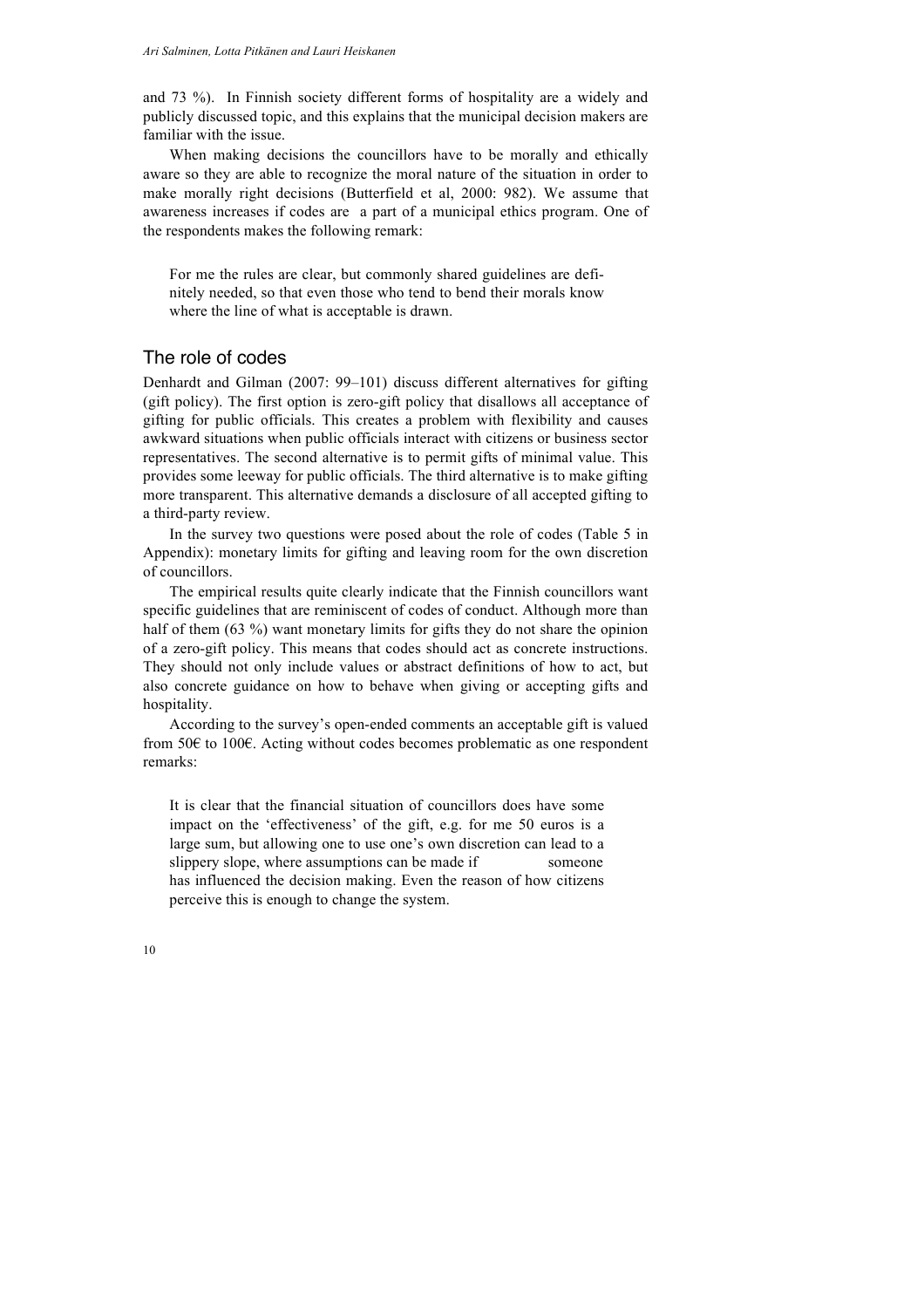and 73 %). In Finnish society different forms of hospitality are a widely and publicly discussed topic, and this explains that the municipal decision makers are familiar with the issue.

When making decisions the councillors have to be morally and ethically aware so they are able to recognize the moral nature of the situation in order to make morally right decisions (Butterfield et al, 2000: 982). We assume that awareness increases if codes are a part of a municipal ethics program. One of the respondents makes the following remark:

For me the rules are clear, but commonly shared guidelines are definitely needed, so that even those who tend to bend their morals know where the line of what is acceptable is drawn.

#### The role of codes

Denhardt and Gilman (2007: 99–101) discuss different alternatives for gifting (gift policy). The first option is zero-gift policy that disallows all acceptance of gifting for public officials. This creates a problem with flexibility and causes awkward situations when public officials interact with citizens or business sector representatives. The second alternative is to permit gifts of minimal value. This provides some leeway for public officials. The third alternative is to make gifting more transparent. This alternative demands a disclosure of all accepted gifting to a third-party review.

In the survey two questions were posed about the role of codes (Table 5 in Appendix): monetary limits for gifting and leaving room for the own discretion of councillors.

The empirical results quite clearly indicate that the Finnish councillors want specific guidelines that are reminiscent of codes of conduct. Although more than half of them (63 %) want monetary limits for gifts they do not share the opinion of a zero-gift policy. This means that codes should act as concrete instructions. They should not only include values or abstract definitions of how to act, but also concrete guidance on how to behave when giving or accepting gifts and hospitality.

According to the survey's open-ended comments an acceptable gift is valued from 50€ to 100€. Acting without codes becomes problematic as one respondent remarks:

It is clear that the financial situation of councillors does have some impact on the 'effectiveness' of the gift, e.g. for me 50 euros is a large sum, but allowing one to use one's own discretion can lead to a slippery slope, where assumptions can be made if someone has influenced the decision making. Even the reason of how citizens perceive this is enough to change the system.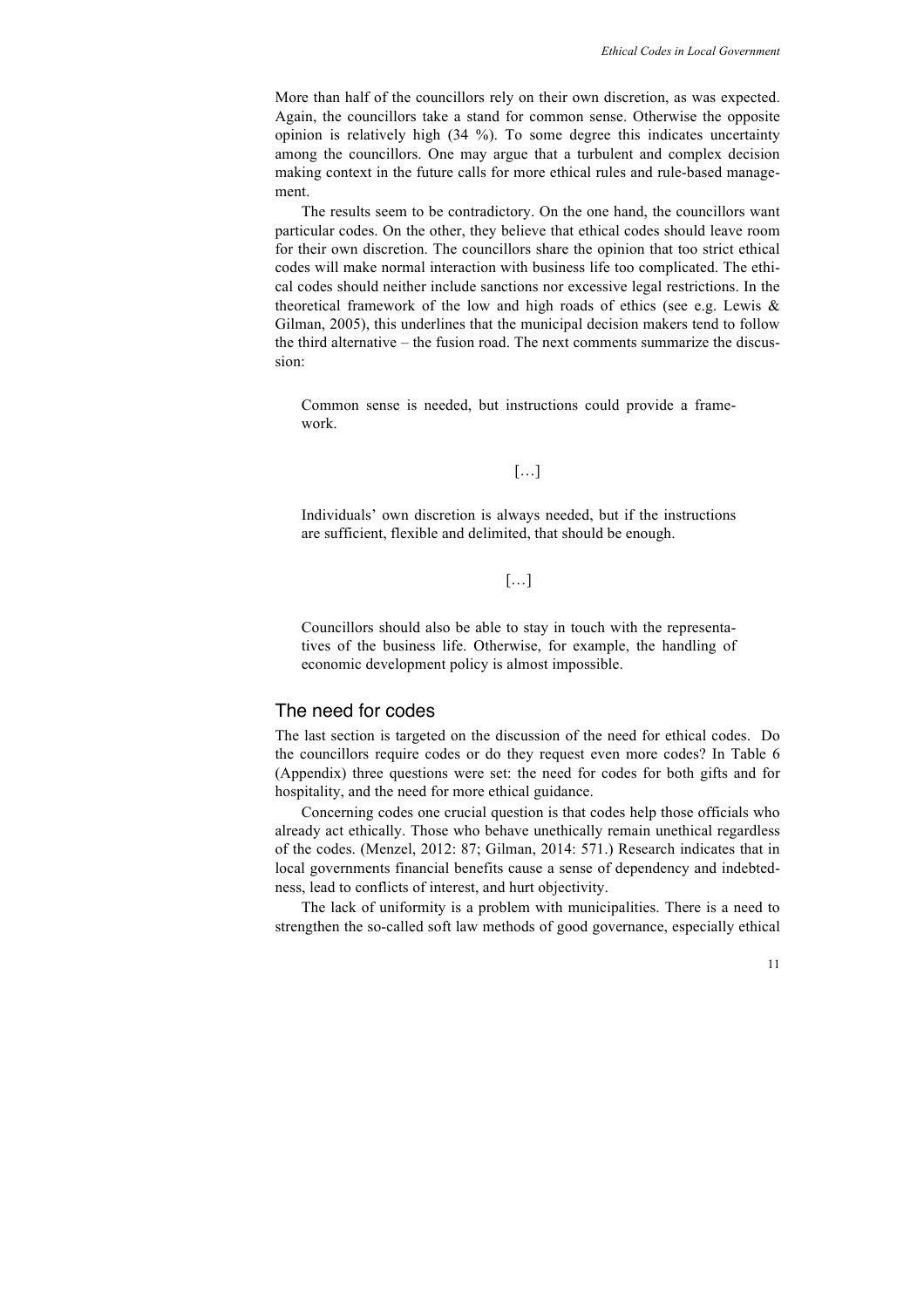More than half of the councillors rely on their own discretion, as was expected. Again, the councillors take a stand for common sense. Otherwise the opposite opinion is relatively high (34 %). To some degree this indicates uncertainty among the councillors. One may argue that a turbulent and complex decision making context in the future calls for more ethical rules and rule-based management.

The results seem to be contradictory. On the one hand, the councillors want particular codes. On the other, they believe that ethical codes should leave room for their own discretion. The councillors share the opinion that too strict ethical codes will make normal interaction with business life too complicated. The ethical codes should neither include sanctions nor excessive legal restrictions. In the theoretical framework of the low and high roads of ethics (see e.g. Lewis & Gilman, 2005), this underlines that the municipal decision makers tend to follow the third alternative – the fusion road. The next comments summarize the discussion:

Common sense is needed, but instructions could provide a framework.

[…]

Individuals' own discretion is always needed, but if the instructions are sufficient, flexible and delimited, that should be enough.

[…]

Councillors should also be able to stay in touch with the representatives of the business life. Otherwise, for example, the handling of economic development policy is almost impossible.

#### The need for codes

The last section is targeted on the discussion of the need for ethical codes. Do the councillors require codes or do they request even more codes? In Table 6 (Appendix) three questions were set: the need for codes for both gifts and for hospitality, and the need for more ethical guidance.

Concerning codes one crucial question is that codes help those officials who already act ethically. Those who behave unethically remain unethical regardless of the codes. (Menzel, 2012: 87; Gilman, 2014: 571.) Research indicates that in local governments financial benefits cause a sense of dependency and indebtedness, lead to conflicts of interest, and hurt objectivity.

The lack of uniformity is a problem with municipalities. There is a need to strengthen the so-called soft law methods of good governance, especially ethical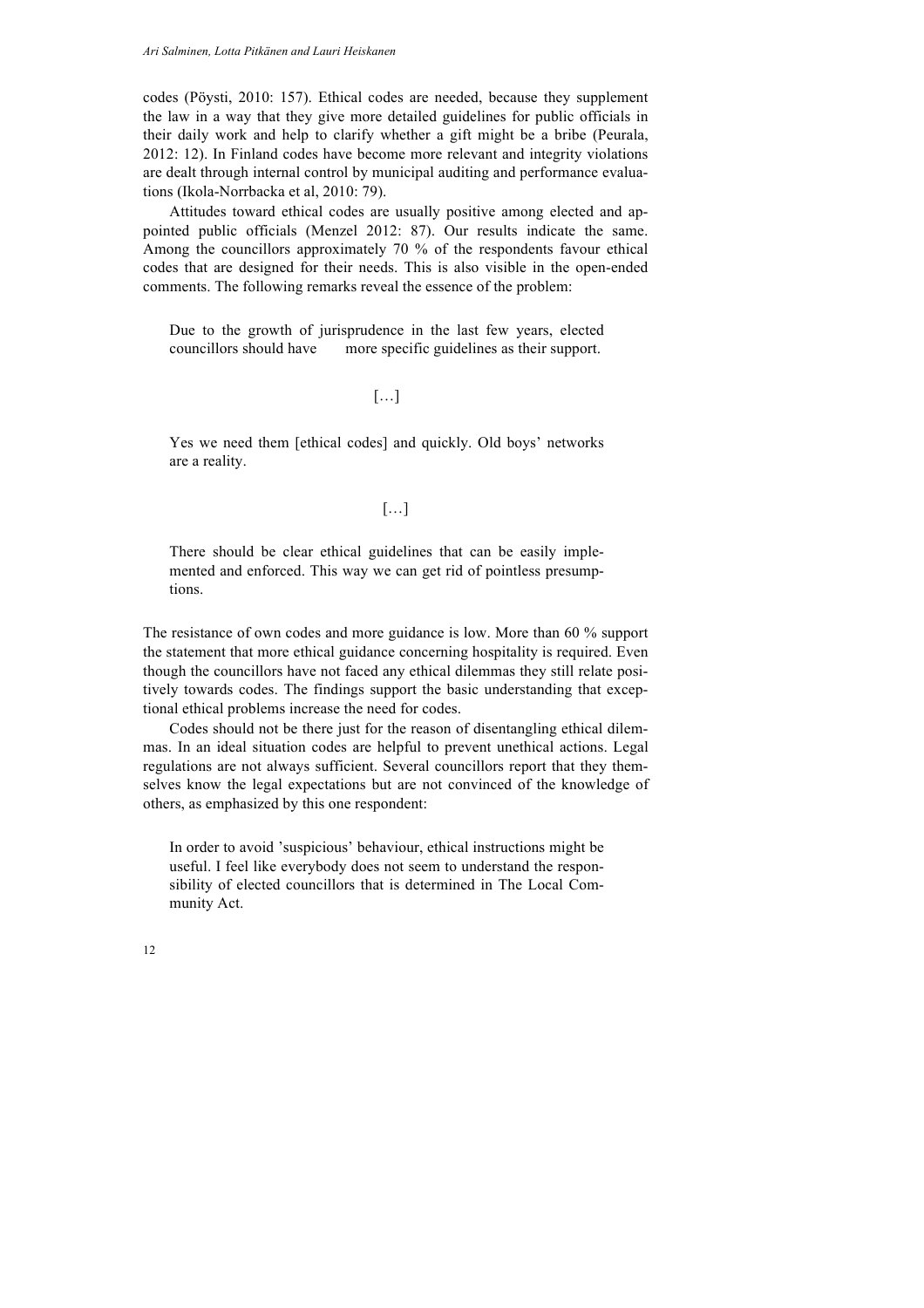codes (Pöysti, 2010: 157). Ethical codes are needed, because they supplement the law in a way that they give more detailed guidelines for public officials in their daily work and help to clarify whether a gift might be a bribe (Peurala, 2012: 12). In Finland codes have become more relevant and integrity violations are dealt through internal control by municipal auditing and performance evaluations (Ikola-Norrbacka et al, 2010: 79).

Attitudes toward ethical codes are usually positive among elected and appointed public officials (Menzel 2012: 87). Our results indicate the same. Among the councillors approximately 70 % of the respondents favour ethical codes that are designed for their needs. This is also visible in the open-ended comments. The following remarks reveal the essence of the problem:

Due to the growth of jurisprudence in the last few years, elected councillors should have more specific guidelines as their support.

#### […]

Yes we need them [ethical codes] and quickly. Old boys' networks are a reality.

#### […]

There should be clear ethical guidelines that can be easily implemented and enforced. This way we can get rid of pointless presumptions.

The resistance of own codes and more guidance is low. More than 60 % support the statement that more ethical guidance concerning hospitality is required. Even though the councillors have not faced any ethical dilemmas they still relate positively towards codes. The findings support the basic understanding that exceptional ethical problems increase the need for codes.

Codes should not be there just for the reason of disentangling ethical dilemmas. In an ideal situation codes are helpful to prevent unethical actions. Legal regulations are not always sufficient. Several councillors report that they themselves know the legal expectations but are not convinced of the knowledge of others, as emphasized by this one respondent:

In order to avoid 'suspicious' behaviour, ethical instructions might be useful. I feel like everybody does not seem to understand the responsibility of elected councillors that is determined in The Local Community Act.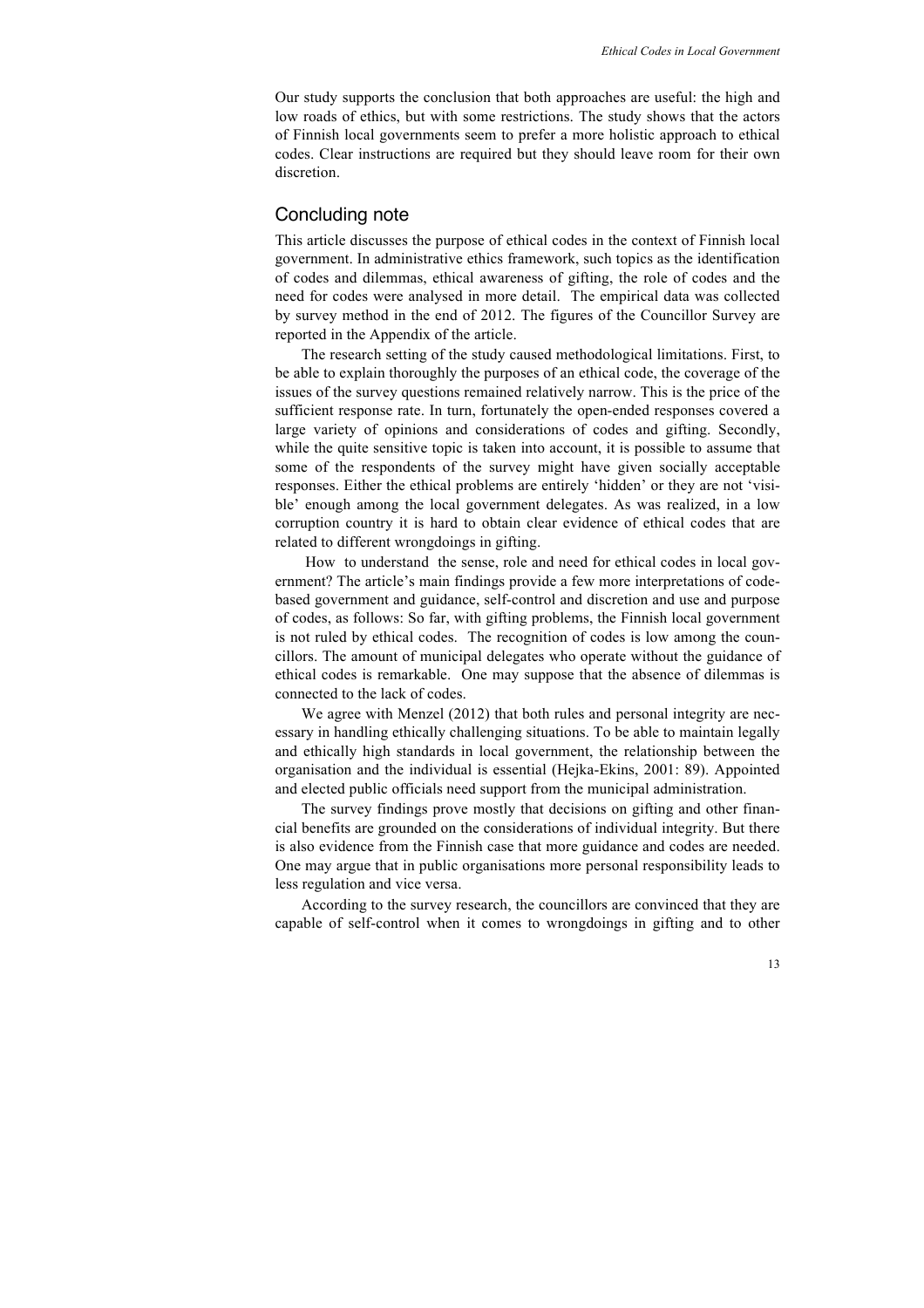Our study supports the conclusion that both approaches are useful: the high and low roads of ethics, but with some restrictions. The study shows that the actors of Finnish local governments seem to prefer a more holistic approach to ethical codes. Clear instructions are required but they should leave room for their own discretion.

#### Concluding note

This article discusses the purpose of ethical codes in the context of Finnish local government. In administrative ethics framework, such topics as the identification of codes and dilemmas, ethical awareness of gifting, the role of codes and the need for codes were analysed in more detail. The empirical data was collected by survey method in the end of 2012. The figures of the Councillor Survey are reported in the Appendix of the article.

The research setting of the study caused methodological limitations. First, to be able to explain thoroughly the purposes of an ethical code, the coverage of the issues of the survey questions remained relatively narrow. This is the price of the sufficient response rate. In turn, fortunately the open-ended responses covered a large variety of opinions and considerations of codes and gifting. Secondly, while the quite sensitive topic is taken into account, it is possible to assume that some of the respondents of the survey might have given socially acceptable responses. Either the ethical problems are entirely 'hidden' or they are not 'visible' enough among the local government delegates. As was realized, in a low corruption country it is hard to obtain clear evidence of ethical codes that are related to different wrongdoings in gifting.

How to understand the sense, role and need for ethical codes in local government? The article's main findings provide a few more interpretations of codebased government and guidance, self-control and discretion and use and purpose of codes, as follows: So far, with gifting problems, the Finnish local government is not ruled by ethical codes. The recognition of codes is low among the councillors. The amount of municipal delegates who operate without the guidance of ethical codes is remarkable. One may suppose that the absence of dilemmas is connected to the lack of codes.

We agree with Menzel (2012) that both rules and personal integrity are necessary in handling ethically challenging situations. To be able to maintain legally and ethically high standards in local government, the relationship between the organisation and the individual is essential (Hejka-Ekins, 2001: 89). Appointed and elected public officials need support from the municipal administration.

The survey findings prove mostly that decisions on gifting and other financial benefits are grounded on the considerations of individual integrity. But there is also evidence from the Finnish case that more guidance and codes are needed. One may argue that in public organisations more personal responsibility leads to less regulation and vice versa.

According to the survey research, the councillors are convinced that they are capable of self-control when it comes to wrongdoings in gifting and to other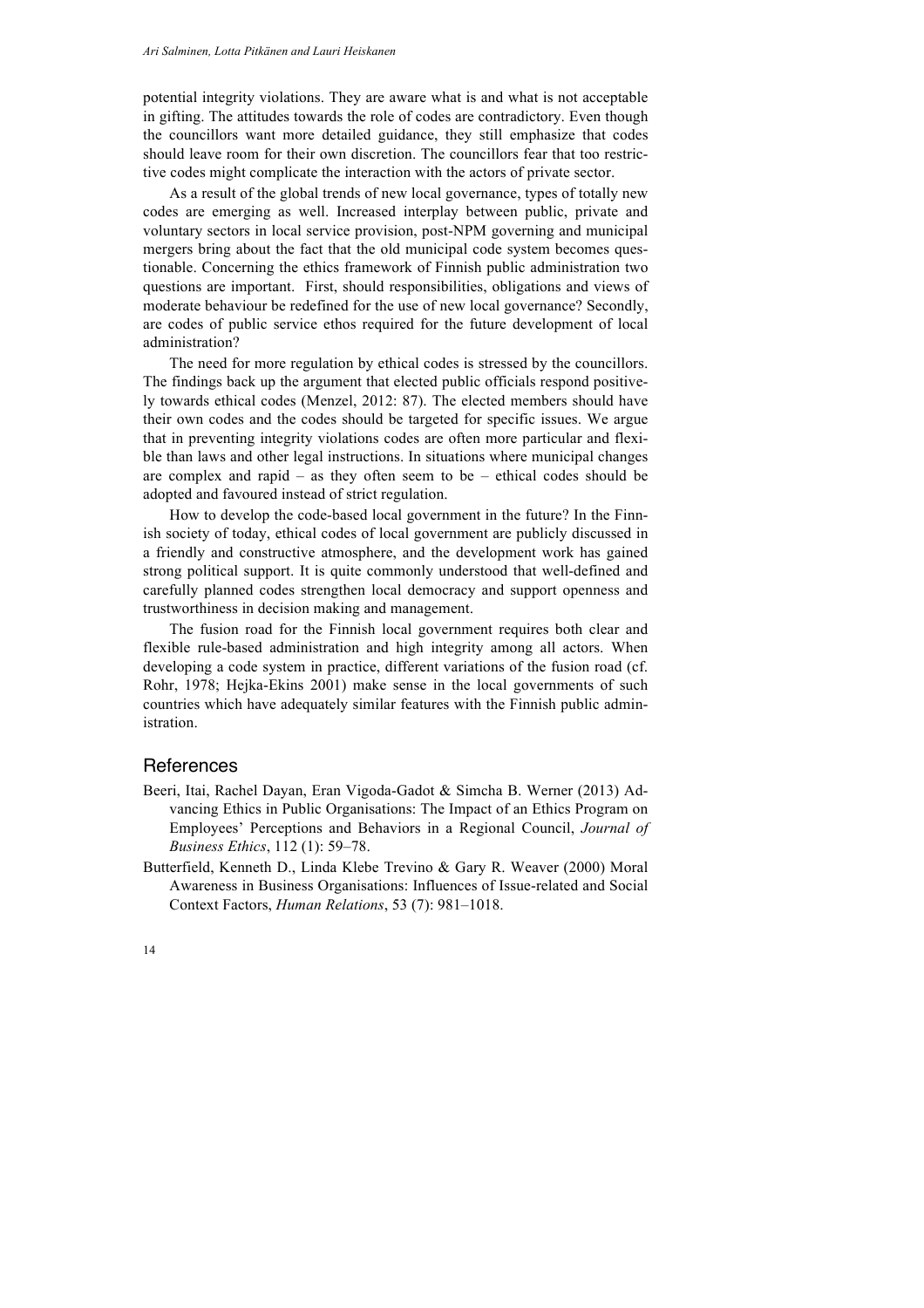potential integrity violations. They are aware what is and what is not acceptable in gifting. The attitudes towards the role of codes are contradictory. Even though the councillors want more detailed guidance, they still emphasize that codes should leave room for their own discretion. The councillors fear that too restrictive codes might complicate the interaction with the actors of private sector.

As a result of the global trends of new local governance, types of totally new codes are emerging as well. Increased interplay between public, private and voluntary sectors in local service provision, post-NPM governing and municipal mergers bring about the fact that the old municipal code system becomes questionable. Concerning the ethics framework of Finnish public administration two questions are important. First, should responsibilities, obligations and views of moderate behaviour be redefined for the use of new local governance? Secondly, are codes of public service ethos required for the future development of local administration?

The need for more regulation by ethical codes is stressed by the councillors. The findings back up the argument that elected public officials respond positively towards ethical codes (Menzel, 2012: 87). The elected members should have their own codes and the codes should be targeted for specific issues. We argue that in preventing integrity violations codes are often more particular and flexible than laws and other legal instructions. In situations where municipal changes are complex and rapid – as they often seem to be – ethical codes should be adopted and favoured instead of strict regulation.

How to develop the code-based local government in the future? In the Finnish society of today, ethical codes of local government are publicly discussed in a friendly and constructive atmosphere, and the development work has gained strong political support. It is quite commonly understood that well-defined and carefully planned codes strengthen local democracy and support openness and trustworthiness in decision making and management.

The fusion road for the Finnish local government requires both clear and flexible rule-based administration and high integrity among all actors. When developing a code system in practice, different variations of the fusion road (cf. Rohr, 1978; Hejka-Ekins 2001) make sense in the local governments of such countries which have adequately similar features with the Finnish public administration.

#### References

- Beeri, Itai, Rachel Dayan, Eran Vigoda-Gadot & Simcha B. Werner (2013) Advancing Ethics in Public Organisations: The Impact of an Ethics Program on Employees' Perceptions and Behaviors in a Regional Council, *Journal of Business Ethics*, 112 (1): 59–78.
- Butterfield, Kenneth D., Linda Klebe Trevino & Gary R. Weaver (2000) Moral Awareness in Business Organisations: Influences of Issue-related and Social Context Factors, *Human Relations*, 53 (7): 981–1018.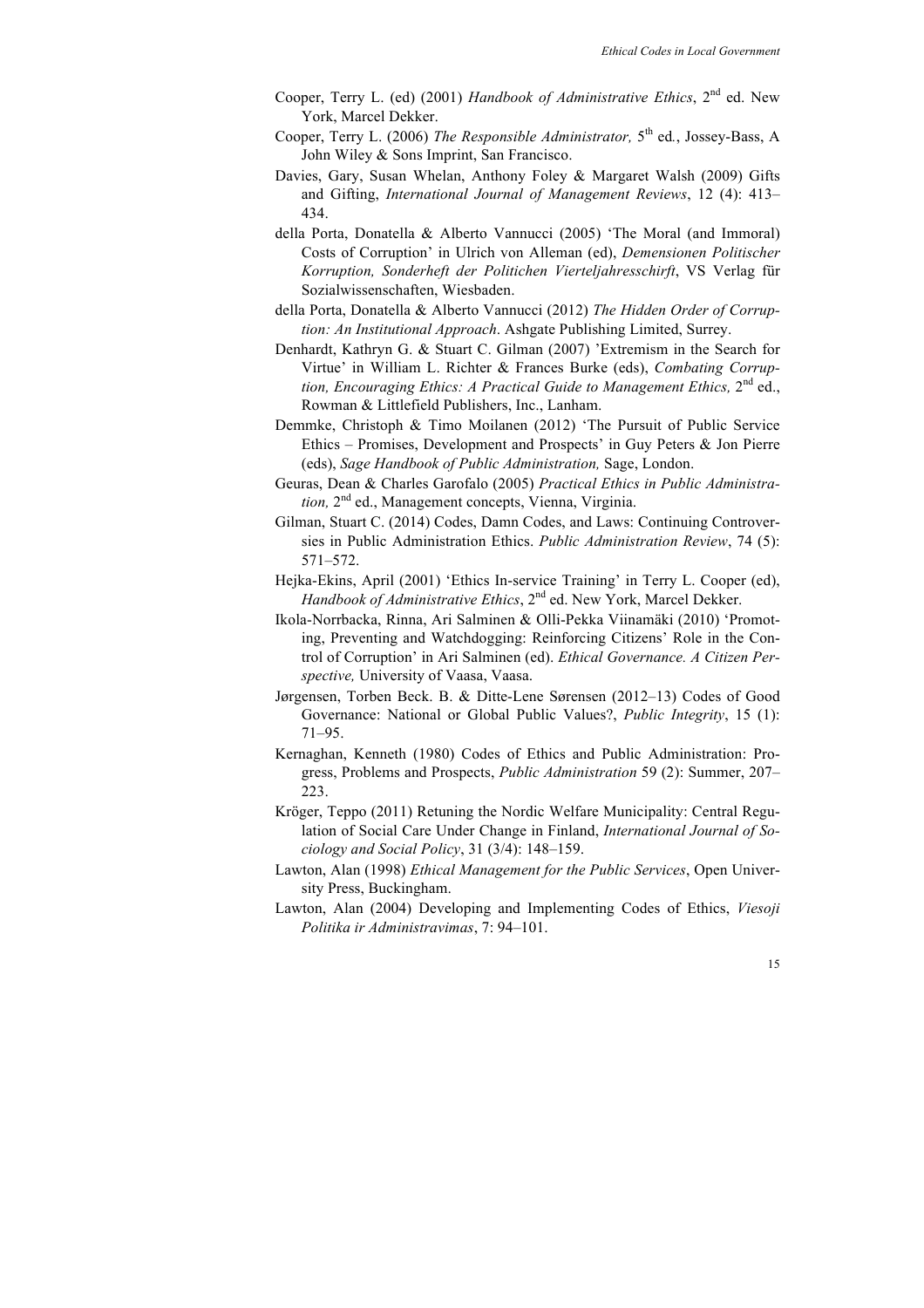- Cooper, Terry L. (ed) (2001) *Handbook of Administrative Ethics*, 2nd ed. New York, Marcel Dekker.
- Cooper, Terry L. (2006) *The Responsible Administrator,* 5th ed*.*, Jossey-Bass, A John Wiley & Sons Imprint, San Francisco.
- Davies, Gary, Susan Whelan, Anthony Foley & Margaret Walsh (2009) Gifts and Gifting, *International Journal of Management Reviews*, 12 (4): 413– 434.
- della Porta, Donatella & Alberto Vannucci (2005) 'The Moral (and Immoral) Costs of Corruption' in Ulrich von Alleman (ed), *Demensionen Politischer Korruption, Sonderheft der Politichen Vierteljahresschirft*, VS Verlag für Sozialwissenschaften, Wiesbaden.
- della Porta, Donatella & Alberto Vannucci (2012) *The Hidden Order of Corruption: An Institutional Approach*. Ashgate Publishing Limited, Surrey.
- Denhardt, Kathryn G. & Stuart C. Gilman (2007) 'Extremism in the Search for Virtue' in William L. Richter & Frances Burke (eds), *Combating Corruption, Encouraging Ethics: A Practical Guide to Management Ethics,* 2<sup>nd</sup> ed., Rowman & Littlefield Publishers, Inc., Lanham.
- Demmke, Christoph & Timo Moilanen (2012) 'The Pursuit of Public Service Ethics – Promises, Development and Prospects' in Guy Peters & Jon Pierre (eds), *Sage Handbook of Public Administration,* Sage, London.
- Geuras, Dean & Charles Garofalo (2005) *Practical Ethics in Public Administration,* 2nd ed., Management concepts, Vienna, Virginia.
- Gilman, Stuart C. (2014) Codes, Damn Codes, and Laws: Continuing Controversies in Public Administration Ethics. *Public Administration Review*, 74 (5): 571–572.
- Hejka-Ekins, April (2001) 'Ethics In-service Training' in Terry L. Cooper (ed), *Handbook of Administrative Ethics*, 2<sup>nd</sup> ed. New York, Marcel Dekker.
- Ikola-Norrbacka, Rinna, Ari Salminen & Olli-Pekka Viinamäki (2010) 'Promoting, Preventing and Watchdogging: Reinforcing Citizens' Role in the Control of Corruption' in Ari Salminen (ed). *Ethical Governance. A Citizen Perspective,* University of Vaasa, Vaasa.
- Jørgensen, Torben Beck. B. & Ditte-Lene Sørensen (2012–13) Codes of Good Governance: National or Global Public Values?, *Public Integrity*, 15 (1): 71–95.
- Kernaghan, Kenneth (1980) Codes of Ethics and Public Administration: Progress, Problems and Prospects, *Public Administration* 59 (2): Summer, 207– 223.
- Kröger, Teppo (2011) Retuning the Nordic Welfare Municipality: Central Regulation of Social Care Under Change in Finland, *International Journal of Sociology and Social Policy*, 31 (3/4): 148–159.
- Lawton, Alan (1998) *Ethical Management for the Public Services*, Open University Press, Buckingham.
- Lawton, Alan (2004) Developing and Implementing Codes of Ethics, *Viesoji Politika ir Administravimas*, 7: 94–101.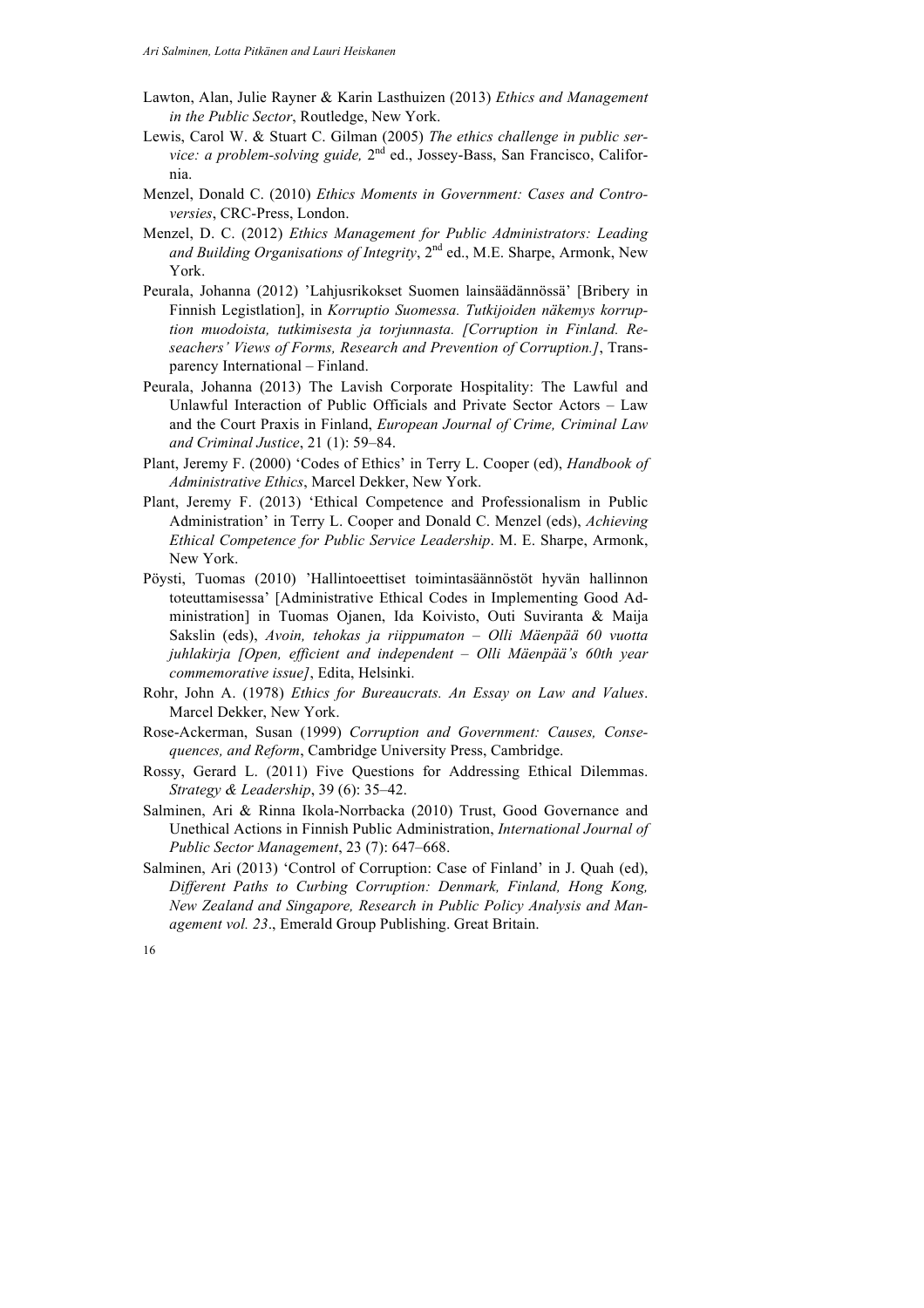- Lawton, Alan, Julie Rayner & Karin Lasthuizen (2013) *Ethics and Management in the Public Sector*, Routledge, New York.
- Lewis, Carol W. & Stuart C. Gilman (2005) *The ethics challenge in public service: a problem-solving guide,* 2nd ed., Jossey-Bass, San Francisco, California.
- Menzel, Donald C. (2010) *Ethics Moments in Government: Cases and Controversies*, CRC-Press, London.
- Menzel, D. C. (2012) *Ethics Management for Public Administrators: Leading and Building Organisations of Integrity*, 2nd ed., M.E. Sharpe, Armonk, New York.
- Peurala, Johanna (2012) 'Lahjusrikokset Suomen lainsäädännössä' [Bribery in Finnish Legistlation], in *Korruptio Suomessa. Tutkijoiden näkemys korruption muodoista, tutkimisesta ja torjunnasta. [Corruption in Finland. Reseachers' Views of Forms, Research and Prevention of Corruption.]*, Transparency International – Finland.
- Peurala, Johanna (2013) The Lavish Corporate Hospitality: The Lawful and Unlawful Interaction of Public Officials and Private Sector Actors – Law and the Court Praxis in Finland, *European Journal of Crime, Criminal Law and Criminal Justice*, 21 (1): 59–84.
- Plant, Jeremy F. (2000) 'Codes of Ethics' in Terry L. Cooper (ed), *Handbook of Administrative Ethics*, Marcel Dekker, New York.
- Plant, Jeremy F. (2013) 'Ethical Competence and Professionalism in Public Administration' in Terry L. Cooper and Donald C. Menzel (eds), *Achieving Ethical Competence for Public Service Leadership*. M. E. Sharpe, Armonk, New York.
- Pöysti, Tuomas (2010) 'Hallintoeettiset toimintasäännöstöt hyvän hallinnon toteuttamisessa' [Administrative Ethical Codes in Implementing Good Administration] in Tuomas Ojanen, Ida Koivisto, Outi Suviranta & Maija Sakslin (eds), *Avoin, tehokas ja riippumaton – Olli Mäenpää 60 vuotta juhlakirja [Open, efficient and independent – Olli Mäenpää's 60th year commemorative issue]*, Edita, Helsinki.
- Rohr, John A. (1978) *Ethics for Bureaucrats. An Essay on Law and Values*. Marcel Dekker, New York.
- Rose-Ackerman, Susan (1999) *Corruption and Government: Causes, Consequences, and Reform*, Cambridge University Press, Cambridge.
- Rossy, Gerard L. (2011) Five Questions for Addressing Ethical Dilemmas. *Strategy & Leadership*, 39 (6): 35–42.
- Salminen, Ari & Rinna Ikola-Norrbacka (2010) Trust, Good Governance and Unethical Actions in Finnish Public Administration, *International Journal of Public Sector Management*, 23 (7): 647–668.
- Salminen, Ari (2013) 'Control of Corruption: Case of Finland' in J. Quah (ed), *Different Paths to Curbing Corruption: Denmark, Finland, Hong Kong, New Zealand and Singapore, Research in Public Policy Analysis and Management vol. 23*., Emerald Group Publishing. Great Britain.

<sup>16</sup>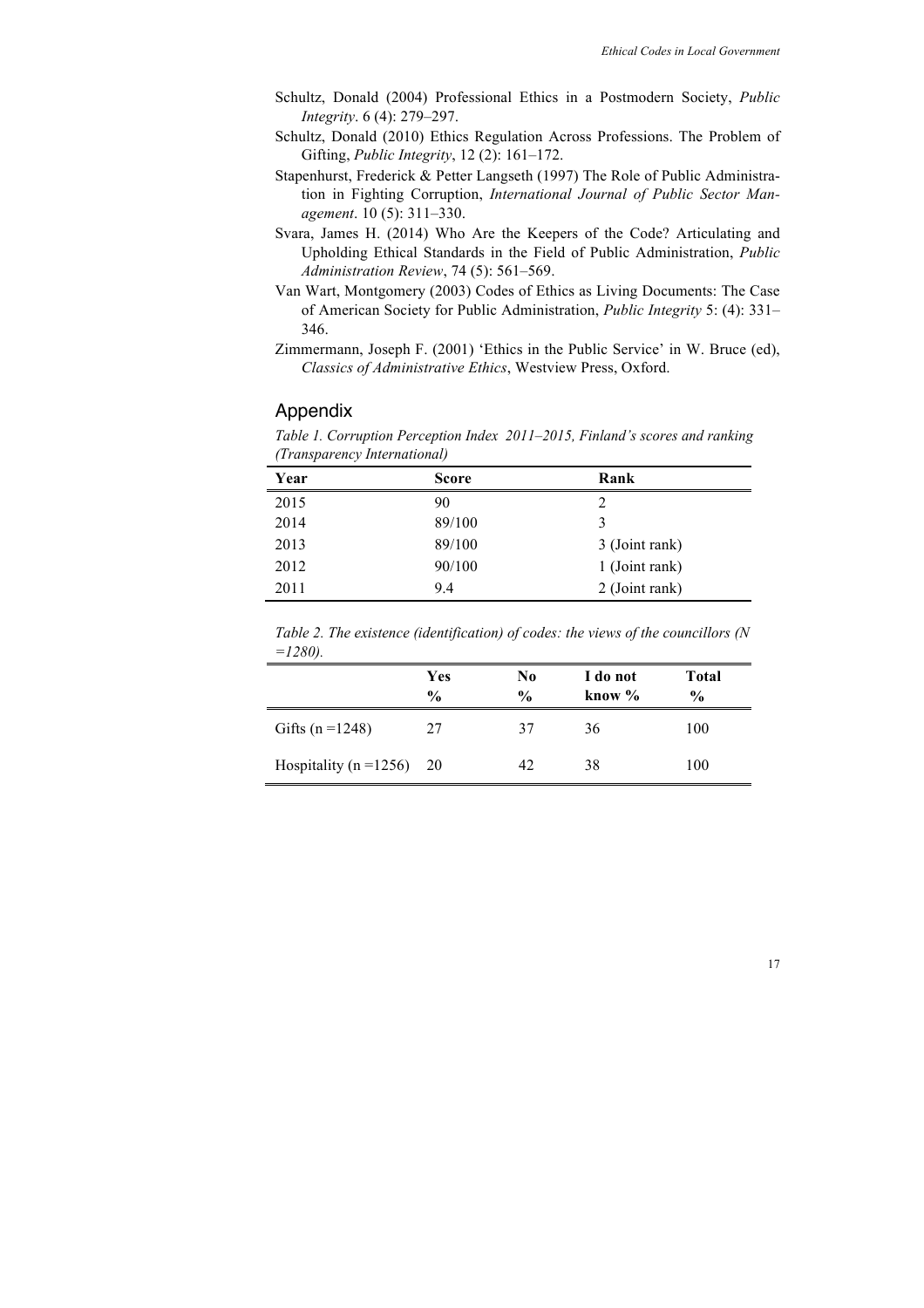- Schultz, Donald (2004) Professional Ethics in a Postmodern Society, *Public Integrity*. 6 (4): 279–297.
- Schultz, Donald (2010) Ethics Regulation Across Professions. The Problem of Gifting, *Public Integrity*, 12 (2): 161–172.
- Stapenhurst, Frederick & Petter Langseth (1997) The Role of Public Administration in Fighting Corruption, *International Journal of Public Sector Management*. 10 (5): 311–330.
- Svara, James H. (2014) Who Are the Keepers of the Code? Articulating and Upholding Ethical Standards in the Field of Public Administration, *Public Administration Review*, 74 (5): 561–569.
- Van Wart, Montgomery (2003) Codes of Ethics as Living Documents: The Case of American Society for Public Administration, *Public Integrity* 5: (4): 331– 346.
- Zimmermann, Joseph F. (2001) 'Ethics in the Public Service' in W. Bruce (ed), *Classics of Administrative Ethics*, Westview Press, Oxford.

#### Appendix

*Table 1. Corruption Perception Index 2011–2015, Finland's scores and ranking (Transparency International)*

| Year | <b>Score</b> | Rank           |
|------|--------------|----------------|
| 2015 | 90           | 2              |
| 2014 | 89/100       | 3              |
| 2013 | 89/100       | 3 (Joint rank) |
| 2012 | 90/100       | 1 (Joint rank) |
| 2011 | 9.4          | 2 (Joint rank) |

*Table 2. The existence (identification) of codes: the views of the councillors (N =1280).*

|                               | Yes<br>$\frac{0}{0}$ | No.<br>$\frac{0}{0}$ | I do not<br>know $\%$ | Total<br>$\frac{0}{0}$ |
|-------------------------------|----------------------|----------------------|-----------------------|------------------------|
| Gifts ( $n = 1248$ )          | 27                   | 37                   | 36                    | 100                    |
| Hospitality ( $n = 1256$ ) 20 |                      | 42                   | 38                    | 100                    |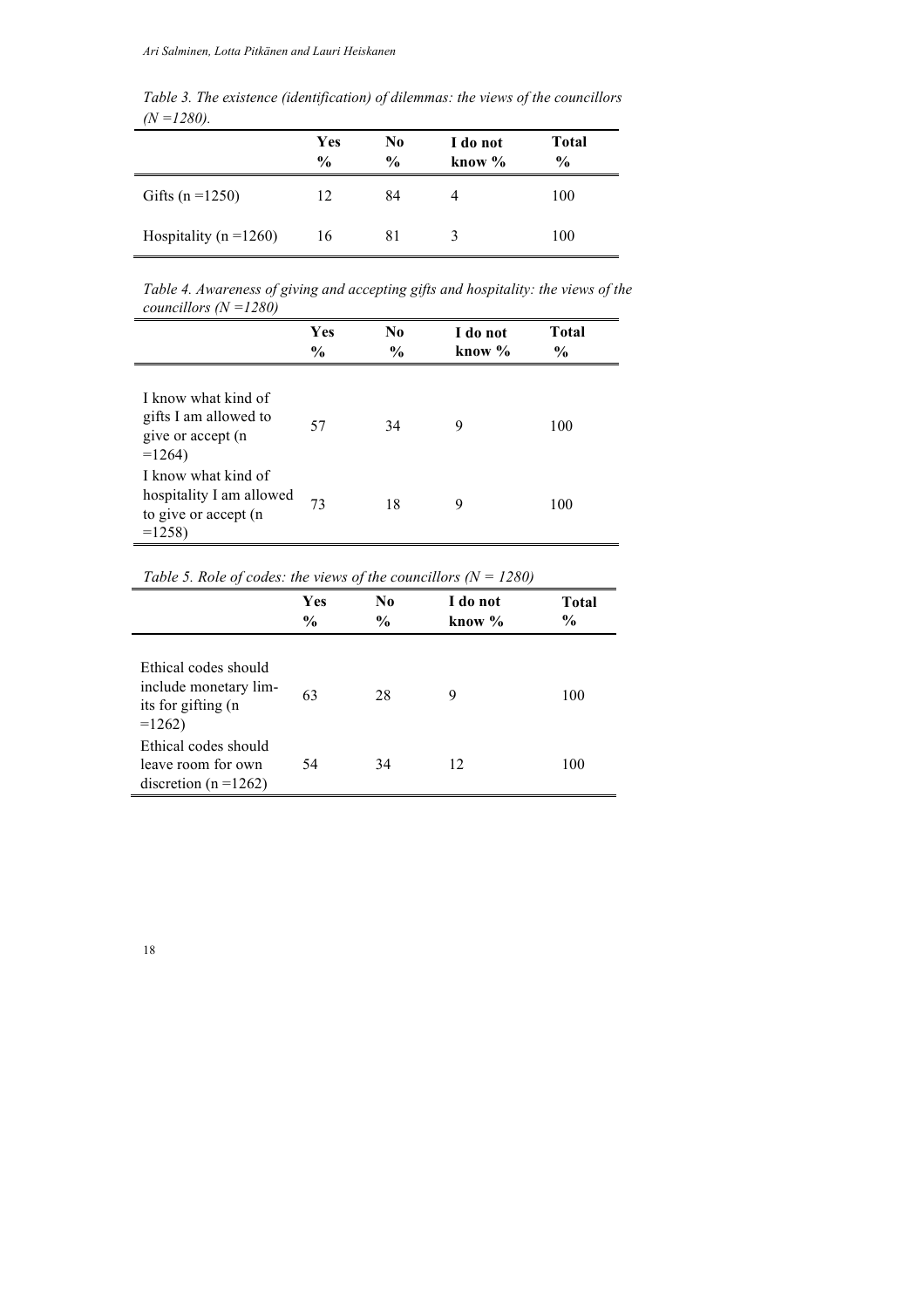*Table 3. The existence (identification) of dilemmas: the views of the councillors (N =1280).* .

|                            | Yes<br>$\frac{0}{0}$ | No<br>$\frac{0}{0}$ | I do not<br>know $\%$ | <b>Total</b><br>$\frac{0}{0}$ |
|----------------------------|----------------------|---------------------|-----------------------|-------------------------------|
| Gifts ( $n = 1250$ )       | 12                   | 84                  |                       | 100                           |
| Hospitality ( $n = 1260$ ) | 16                   | 81                  |                       | 100                           |

*Table 4. Awareness of giving and accepting gifts and hospitality: the views of the councillors (N =1280)*  $\overline{a}$ 

|                                                                                    | Yes<br>$\frac{6}{9}$ | $\bf No$<br>$\frac{0}{0}$ | I do not<br>know $\%$ | <b>Total</b><br>$\frac{6}{9}$ |
|------------------------------------------------------------------------------------|----------------------|---------------------------|-----------------------|-------------------------------|
| I know what kind of<br>gifts I am allowed to<br>give or accept (n<br>$=1264$       | 57                   | 34                        | 9                     | 100                           |
| I know what kind of<br>hospitality I am allowed<br>to give or accept (n<br>$=1258$ | 73                   | 18                        | 9                     | 100                           |

*Table 5. Role of codes: the views of the councillors (N = 1280)*

|                                                                                | Yes<br>$\frac{6}{9}$ | N <sub>0</sub><br>$\frac{0}{0}$ | I do not<br>know % | Total<br>$\frac{6}{9}$ |
|--------------------------------------------------------------------------------|----------------------|---------------------------------|--------------------|------------------------|
| Ethical codes should<br>include monetary lim-<br>its for gifting (n<br>$=1262$ | 63                   | 28                              | 9                  | 100                    |
| Ethical codes should<br>leave room for own<br>discretion ( $n = 1262$ )        | 54                   | 34                              | 12                 | 100                    |